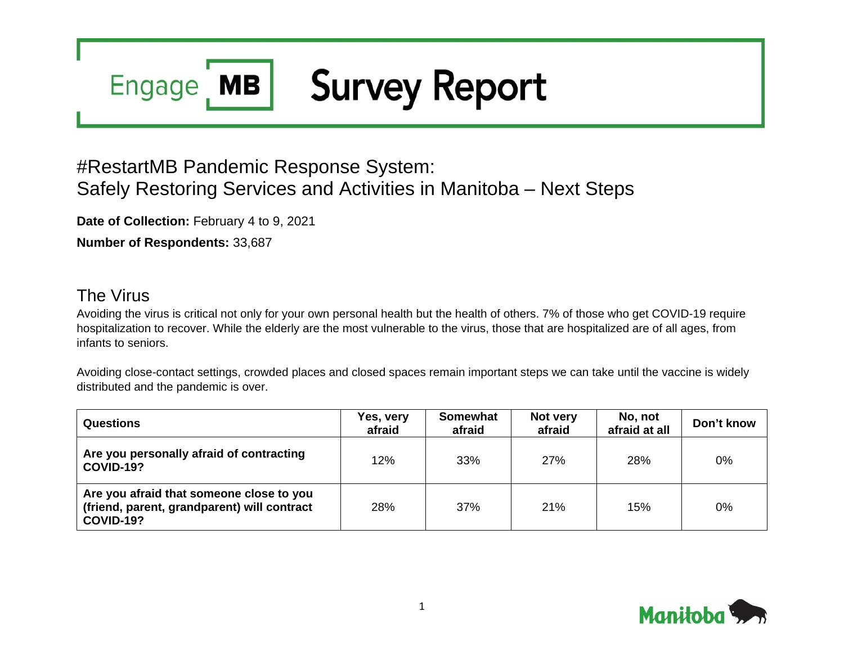# **Survey Report MB Engage**

# #RestartMB Pandemic Response System: Safely Restoring Services and Activities in Manitoba – Next Steps

**Date of Collection:** February 4 to 9, 2021

**Number of Respondents:** 33,687

# The Virus

Avoiding the virus is critical not only for your own personal health but the health of others. 7% of those who get COVID-19 require hospitalization to recover. While the elderly are the most vulnerable to the virus, those that are hospitalized are of all ages, from infants to seniors.

Avoiding close-contact settings, crowded places and closed spaces remain important steps we can take until the vaccine is widely distributed and the pandemic is over.

| <b>Questions</b>                                                                                            | Yes, very<br>afraid | <b>Somewhat</b><br>afraid | Not very<br>afraid | No, not<br>afraid at all | Don't know |
|-------------------------------------------------------------------------------------------------------------|---------------------|---------------------------|--------------------|--------------------------|------------|
| Are you personally afraid of contracting<br><b>COVID-19?</b>                                                | 12%                 | 33%                       | 27%                | 28%                      | 0%         |
| Are you afraid that someone close to you<br>(friend, parent, grandparent) will contract<br><b>COVID-19?</b> | 28%                 | 37%                       | 21%                | 15%                      | 0%         |

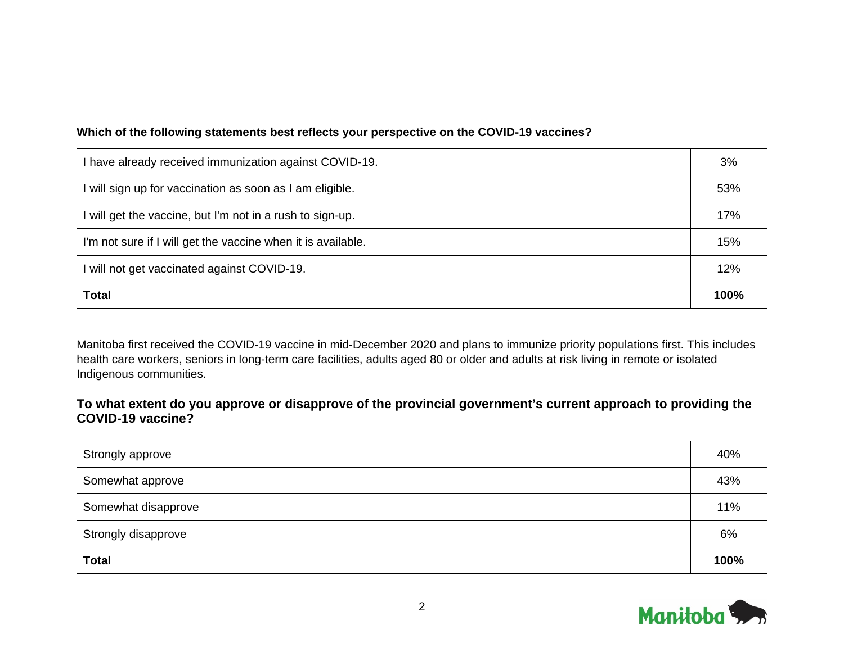#### **Which of the following statements best reflects your perspective on the COVID-19 vaccines?**

| I have already received immunization against COVID-19.       | 3%   |
|--------------------------------------------------------------|------|
| I will sign up for vaccination as soon as I am eligible.     | 53%  |
| I will get the vaccine, but I'm not in a rush to sign-up.    | 17%  |
| I'm not sure if I will get the vaccine when it is available. | 15%  |
| I will not get vaccinated against COVID-19.                  | 12%  |
| <b>Total</b>                                                 | 100% |

Manitoba first received the COVID-19 vaccine in mid-December 2020 and plans to immunize priority populations first. This includes health care workers, seniors in long-term care facilities, adults aged 80 or older and adults at risk living in remote or isolated Indigenous communities.

**To what extent do you approve or disapprove of the provincial government's current approach to providing the COVID-19 vaccine?**

| Strongly approve    | 40%  |
|---------------------|------|
| Somewhat approve    | 43%  |
| Somewhat disapprove | 11%  |
| Strongly disapprove | 6%   |
| <b>Total</b>        | 100% |

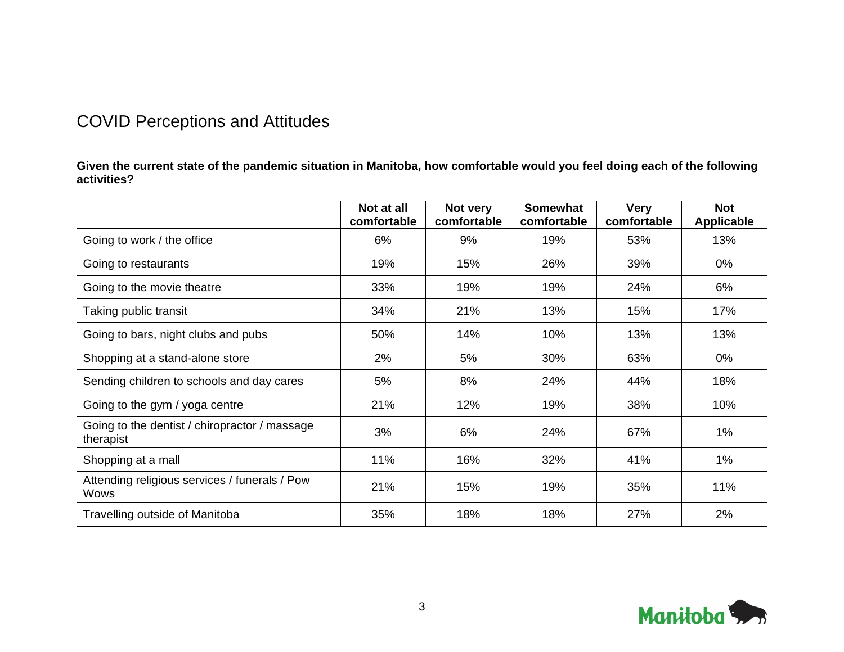# COVID Perceptions and Attitudes

**Given the current state of the pandemic situation in Manitoba, how comfortable would you feel doing each of the following activities?**

|                                                            | Not at all<br>comfortable | Not very<br>comfortable | <b>Somewhat</b><br>comfortable | <b>Very</b><br>comfortable | <b>Not</b><br><b>Applicable</b> |
|------------------------------------------------------------|---------------------------|-------------------------|--------------------------------|----------------------------|---------------------------------|
| Going to work / the office                                 | 6%                        | 9%                      | 19%                            | 53%                        | 13%                             |
| Going to restaurants                                       | 19%                       | 15%                     | 26%                            | 39%                        | $0\%$                           |
| Going to the movie theatre                                 | 33%                       | 19%                     | 19%                            | 24%                        | 6%                              |
| Taking public transit                                      | 34%                       | 21%                     | 13%                            | 15%                        | 17%                             |
| Going to bars, night clubs and pubs                        | 50%                       | 14%                     | 10%                            | 13%                        | 13%                             |
| Shopping at a stand-alone store                            | 2%                        | 5%                      | 30%                            | 63%                        | $0\%$                           |
| Sending children to schools and day cares                  | 5%                        | 8%                      | 24%                            | 44%                        | 18%                             |
| Going to the gym / yoga centre                             | 21%                       | 12%                     | 19%                            | 38%                        | 10%                             |
| Going to the dentist / chiropractor / massage<br>therapist | 3%                        | 6%                      | 24%                            | 67%                        | 1%                              |
| Shopping at a mall                                         | 11%                       | 16%                     | 32%                            | 41%                        | 1%                              |
| Attending religious services / funerals / Pow<br>Wows      | 21%                       | 15%                     | 19%                            | 35%                        | 11%                             |
| Travelling outside of Manitoba                             | 35%                       | 18%                     | 18%                            | 27%                        | 2%                              |

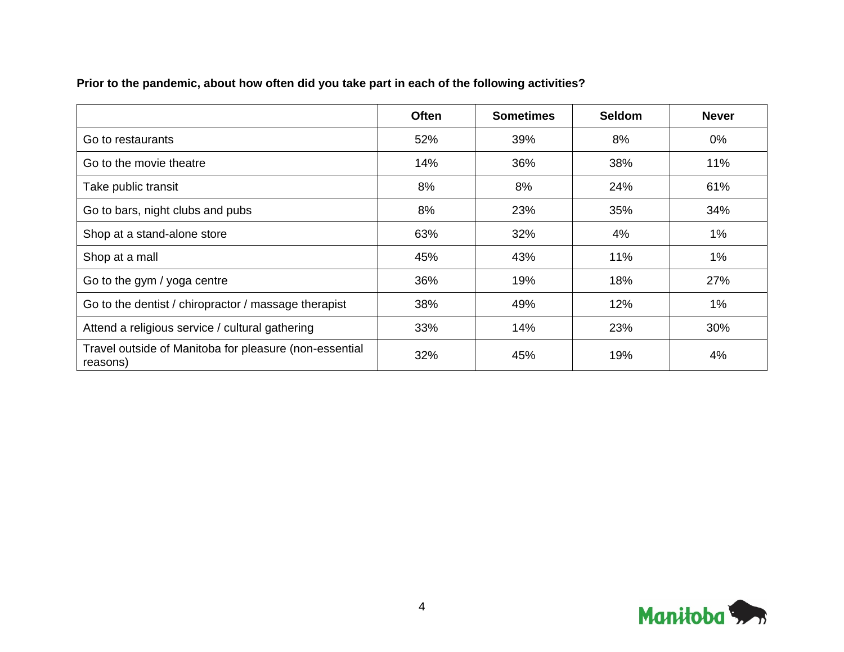|  |  |  | Prior to the pandemic, about how often did you take part in each of the following activities? |  |
|--|--|--|-----------------------------------------------------------------------------------------------|--|
|--|--|--|-----------------------------------------------------------------------------------------------|--|

|                                                                    | <b>Often</b> | <b>Sometimes</b> | <b>Seldom</b> | <b>Never</b> |
|--------------------------------------------------------------------|--------------|------------------|---------------|--------------|
| Go to restaurants                                                  | 52%          | 39%              | 8%            | $0\%$        |
| Go to the movie theatre                                            | 14%          | 36%              | 38%           | 11%          |
| Take public transit                                                | 8%           | 8%               | 24%           | 61%          |
| Go to bars, night clubs and pubs                                   | 8%           | 23%              | 35%           | 34%          |
| Shop at a stand-alone store                                        | 63%          | 32%              | 4%            | $1\%$        |
| Shop at a mall                                                     | 45%          | 43%              | 11%           | $1\%$        |
| Go to the gym / yoga centre                                        | 36%          | 19%              | 18%           | 27%          |
| Go to the dentist / chiropractor / massage therapist               | 38%          | 49%              | 12%           | $1\%$        |
| Attend a religious service / cultural gathering                    | 33%          | 14%              | 23%           | 30%          |
| Travel outside of Manitoba for pleasure (non-essential<br>reasons) | 32%          | 45%              | 19%           | 4%           |

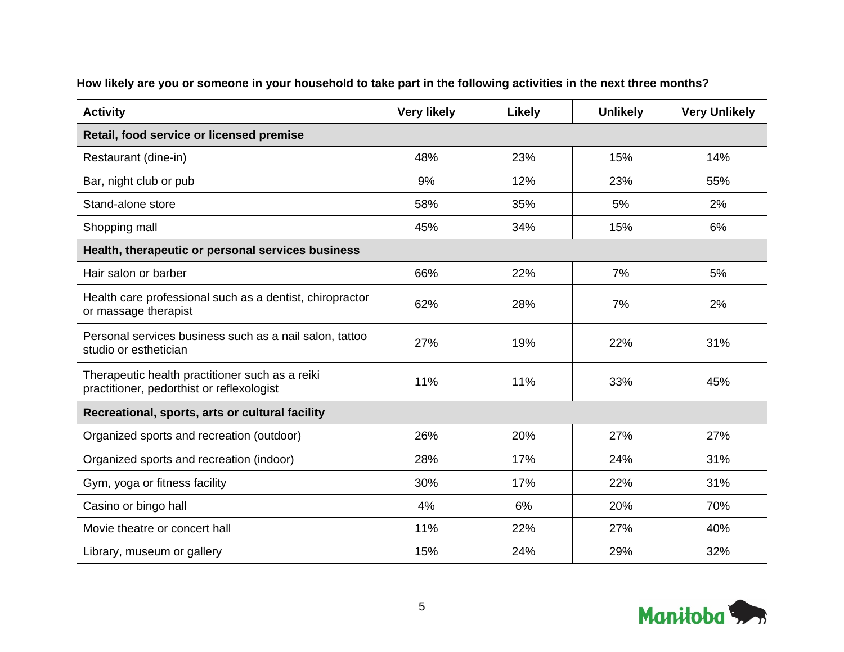| <b>Activity</b>                                                                              | <b>Very likely</b> | Likely | <b>Unlikely</b> | <b>Very Unlikely</b> |  |  |
|----------------------------------------------------------------------------------------------|--------------------|--------|-----------------|----------------------|--|--|
| Retail, food service or licensed premise                                                     |                    |        |                 |                      |  |  |
| Restaurant (dine-in)                                                                         | 48%                | 23%    | 15%             | 14%                  |  |  |
| Bar, night club or pub                                                                       | 9%                 | 12%    | 23%             | 55%                  |  |  |
| Stand-alone store                                                                            | 58%                | 35%    | 5%              | 2%                   |  |  |
| Shopping mall                                                                                | 45%                | 34%    | 15%             | 6%                   |  |  |
| Health, therapeutic or personal services business                                            |                    |        |                 |                      |  |  |
| Hair salon or barber                                                                         | 66%                | 22%    | 7%              | 5%                   |  |  |
| Health care professional such as a dentist, chiropractor<br>or massage therapist             | 62%                | 28%    | 7%              | 2%                   |  |  |
| Personal services business such as a nail salon, tattoo<br>studio or esthetician             | 27%                | 19%    | 22%             | 31%                  |  |  |
| Therapeutic health practitioner such as a reiki<br>practitioner, pedorthist or reflexologist | 11%                | 11%    | 33%             | 45%                  |  |  |
| Recreational, sports, arts or cultural facility                                              |                    |        |                 |                      |  |  |
| Organized sports and recreation (outdoor)                                                    | 26%                | 20%    | 27%             | 27%                  |  |  |
| Organized sports and recreation (indoor)                                                     | 28%                | 17%    | 24%             | 31%                  |  |  |
| Gym, yoga or fitness facility                                                                | 30%                | 17%    | 22%             | 31%                  |  |  |
| Casino or bingo hall                                                                         | 4%                 | 6%     | 20%             | 70%                  |  |  |
| Movie theatre or concert hall                                                                | 11%                | 22%    | 27%             | 40%                  |  |  |
| Library, museum or gallery                                                                   | 15%                | 24%    | 29%             | 32%                  |  |  |

# **How likely are you or someone in your household to take part in the following activities in the next three months?**

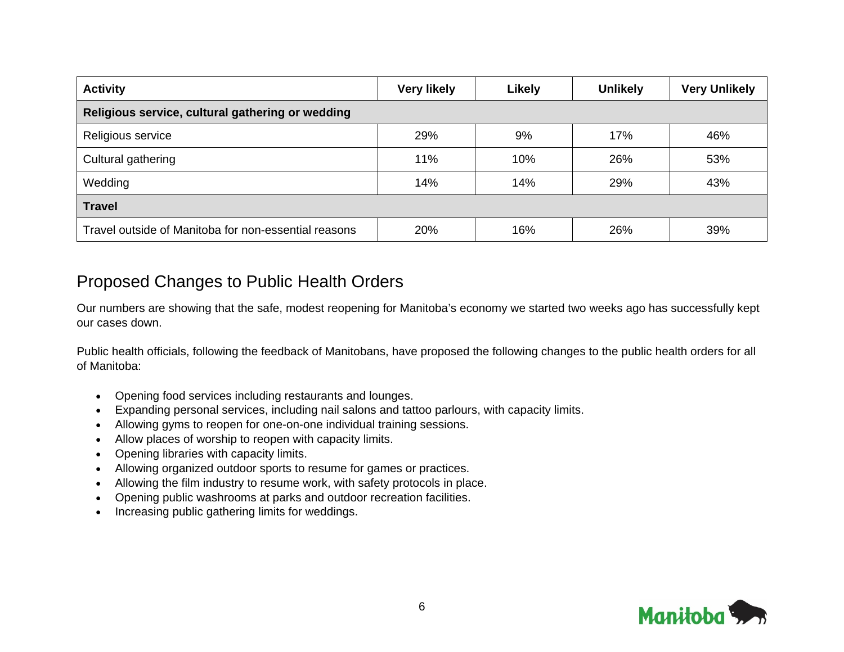| <b>Activity</b>                                      | <b>Very likely</b> | Likely | <b>Unlikely</b> | <b>Very Unlikely</b> |  |
|------------------------------------------------------|--------------------|--------|-----------------|----------------------|--|
| Religious service, cultural gathering or wedding     |                    |        |                 |                      |  |
| Religious service                                    | 29%                | 9%     | 17%             | 46%                  |  |
| Cultural gathering                                   | 11%                | 10%    | 26%             | 53%                  |  |
| Wedding                                              | 14%                | 14%    | 29%             | 43%                  |  |
| <b>Travel</b>                                        |                    |        |                 |                      |  |
| Travel outside of Manitoba for non-essential reasons | 20%                | 16%    | 26%             | 39%                  |  |

# Proposed Changes to Public Health Orders

Our numbers are showing that the safe, modest reopening for Manitoba's economy we started two weeks ago has successfully kept our cases down.

Public health officials, following the feedback of Manitobans, have proposed the following changes to the public health orders for all of Manitoba:

- Opening food services including restaurants and lounges.
- Expanding personal services, including nail salons and tattoo parlours, with capacity limits.
- Allowing gyms to reopen for one-on-one individual training sessions.
- Allow places of worship to reopen with capacity limits.
- Opening libraries with capacity limits.
- Allowing organized outdoor sports to resume for games or practices.
- Allowing the film industry to resume work, with safety protocols in place.
- Opening public washrooms at parks and outdoor recreation facilities.
- Increasing public gathering limits for weddings.

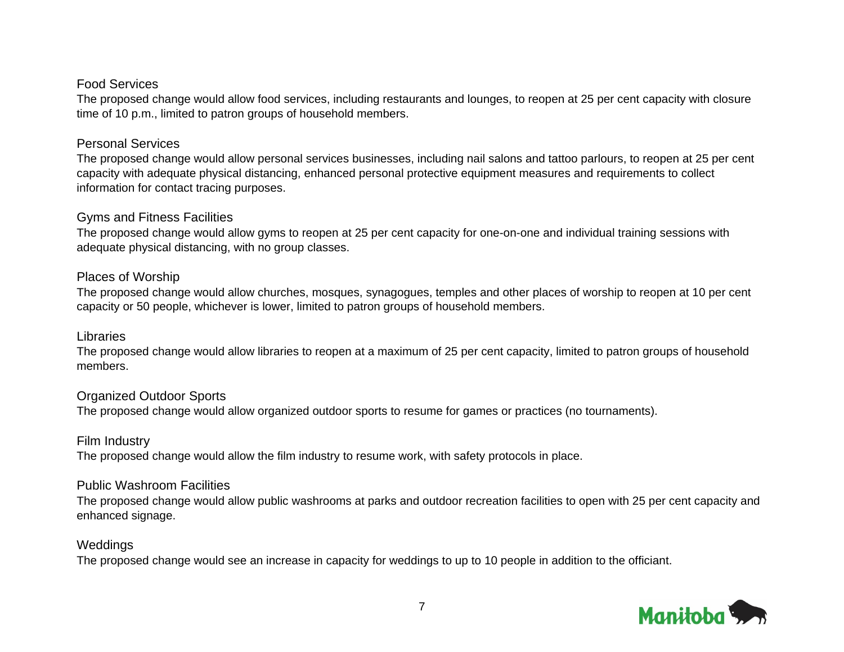#### Food Services

The proposed change would allow food services, including restaurants and lounges, to reopen at 25 per cent capacity with closure time of 10 p.m., limited to patron groups of household members.

#### Personal Services

The proposed change would allow personal services businesses, including nail salons and tattoo parlours, to reopen at 25 per cent capacity with adequate physical distancing, enhanced personal protective equipment measures and requirements to collect information for contact tracing purposes.

#### Gyms and Fitness Facilities

The proposed change would allow gyms to reopen at 25 per cent capacity for one-on-one and individual training sessions with adequate physical distancing, with no group classes.

#### Places of Worship

The proposed change would allow churches, mosques, synagogues, temples and other places of worship to reopen at 10 per cent capacity or 50 people, whichever is lower, limited to patron groups of household members.

#### Libraries

The proposed change would allow libraries to reopen at a maximum of 25 per cent capacity, limited to patron groups of household members.

# Organized Outdoor Sports

The proposed change would allow organized outdoor sports to resume for games or practices (no tournaments).

# Film Industry

The proposed change would allow the film industry to resume work, with safety protocols in place.

# Public Washroom Facilities

The proposed change would allow public washrooms at parks and outdoor recreation facilities to open with 25 per cent capacity and enhanced signage.

# **Weddings**

The proposed change would see an increase in capacity for weddings to up to 10 people in addition to the officiant.

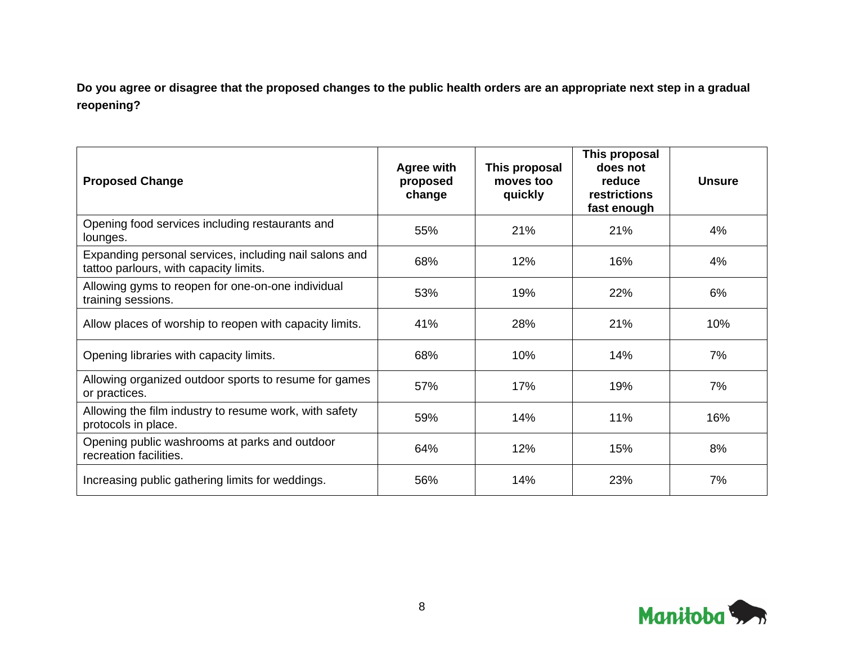**Do you agree or disagree that the proposed changes to the public health orders are an appropriate next step in a gradual reopening?**

| <b>Proposed Change</b>                                                                           | <b>Agree with</b><br>proposed<br>change | This proposal<br>moves too<br>quickly | This proposal<br>does not<br>reduce<br><b>restrictions</b><br>fast enough | <b>Unsure</b> |
|--------------------------------------------------------------------------------------------------|-----------------------------------------|---------------------------------------|---------------------------------------------------------------------------|---------------|
| Opening food services including restaurants and<br>lounges.                                      | 55%                                     | 21%                                   | 21%                                                                       | 4%            |
| Expanding personal services, including nail salons and<br>tattoo parlours, with capacity limits. | 68%                                     | 12%                                   | 16%                                                                       | 4%            |
| Allowing gyms to reopen for one-on-one individual<br>training sessions.                          | 53%                                     | 19%                                   | 22%                                                                       | 6%            |
| Allow places of worship to reopen with capacity limits.                                          | 41%                                     | 28%                                   | 21%                                                                       | 10%           |
| Opening libraries with capacity limits.                                                          | 68%                                     | 10%                                   | 14%                                                                       | 7%            |
| Allowing organized outdoor sports to resume for games<br>or practices.                           | 57%                                     | 17%                                   | 19%                                                                       | 7%            |
| Allowing the film industry to resume work, with safety<br>protocols in place.                    | 59%                                     | 14%                                   | 11%                                                                       | 16%           |
| Opening public washrooms at parks and outdoor<br>recreation facilities.                          | 64%                                     | 12%                                   | 15%                                                                       | 8%            |
| Increasing public gathering limits for weddings.                                                 | 56%                                     | 14%                                   | 23%                                                                       | 7%            |